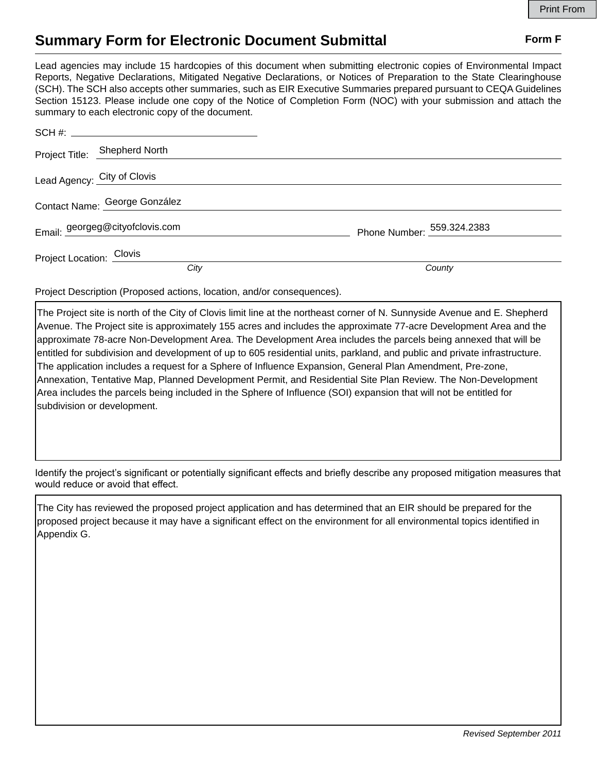## **Summary Form for Electronic Document Submittal Form F Form F**

Lead agencies may include 15 hardcopies of this document when submitting electronic copies of Environmental Impact Reports, Negative Declarations, Mitigated Negative Declarations, or Notices of Preparation to the State Clearinghouse (SCH). The SCH also accepts other summaries, such as EIR Executive Summaries prepared pursuant to CEQA Guidelines Section 15123. Please include one copy of the Notice of Completion Form (NOC) with your submission and attach the summary to each electronic copy of the document.

|                             | SCH #:                          |                            |
|-----------------------------|---------------------------------|----------------------------|
|                             | Project Title: Shepherd North   |                            |
| Lead Agency: City of Clovis |                                 |                            |
|                             | Contact Name: George González   |                            |
|                             | Email: georgeg@cityofclovis.com | Phone Number: 559.324.2383 |
| Project Location: Clovis    |                                 |                            |
|                             | City                            | County                     |

Project Description (Proposed actions, location, and/or consequences).

The Project site is north of the City of Clovis limit line at the northeast corner of N. Sunnyside Avenue and E. Shepherd Avenue. The Project site is approximately 155 acres and includes the approximate 77-acre Development Area and the approximate 78-acre Non-Development Area. The Development Area includes the parcels being annexed that will be entitled for subdivision and development of up to 605 residential units, parkland, and public and private infrastructure. The application includes a request for a Sphere of Influence Expansion, General Plan Amendment, Pre-zone, Annexation, Tentative Map, Planned Development Permit, and Residential Site Plan Review. The Non-Development Area includes the parcels being included in the Sphere of Influence (SOI) expansion that will not be entitled for subdivision or development.

Identify the project's significant or potentially significant effects and briefly describe any proposed mitigation measures that would reduce or avoid that effect.

The City has reviewed the proposed project application and has determined that an EIR should be prepared for the proposed project because it may have a significant effect on the environment for all environmental topics identified in Appendix G.